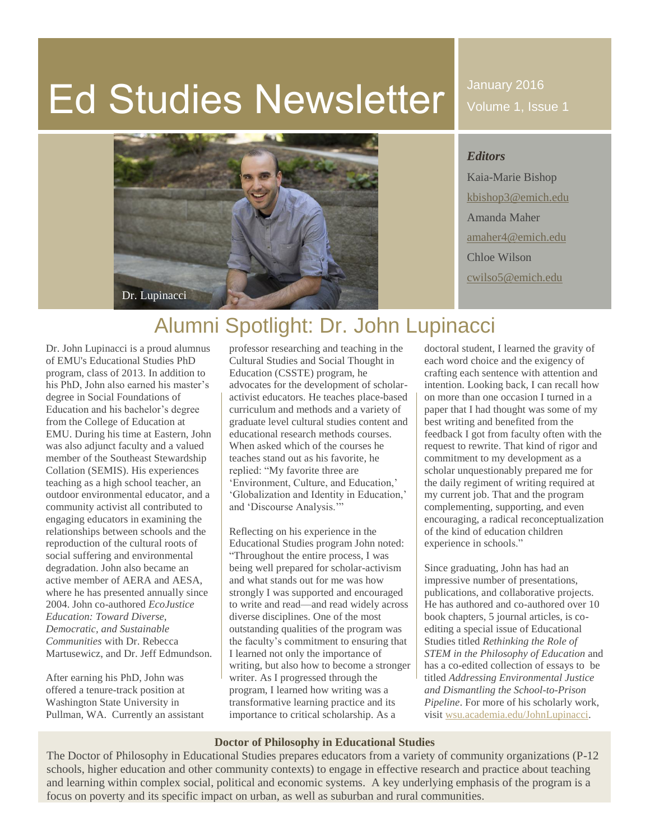# Ed Studies Newsletter

January 2016 Volume 1, Issue 1



*Editors* Kaia-Marie Bishop [kbishop3@emich.edu](mailto:kbishop3@emich.edu) Amanda Maher [amaher4@emich.edu](mailto:amaher4@emich.edu) Chloe Wilson [cwilso5@emich.edu](mailto:cwilso5@emich.edu)

## Alumni Spotlight: Dr. John Lupinacci

Dr. John Lupinacci is a proud alumnus of EMU's Educational Studies PhD program, class of 2013. In addition to his PhD, John also earned his master's degree in Social Foundations of Education and his bachelor's degree from the College of Education at EMU. During his time at Eastern, John was also adjunct faculty and a valued member of the Southeast Stewardship Collation (SEMIS). His experiences teaching as a high school teacher, an outdoor environmental educator, and a community activist all contributed to engaging educators in examining the relationships between schools and the reproduction of the cultural roots of social suffering and environmental degradation. John also became an active member of AERA and AESA, where he has presented annually since 2004. John co-authored *EcoJustice Education: Toward Diverse, Democratic, and Sustainable Communities* with Dr. Rebecca Martusewicz, and Dr. Jeff Edmundson.

After earning his PhD, John was offered a tenure-track position at Washington State University in Pullman, WA. Currently an assistant

professor researching and teaching in the Cultural Studies and Social Thought in Education (CSSTE) program, he advocates for the development of scholaractivist educators. He teaches place-based curriculum and methods and a variety of graduate level cultural studies content and educational research methods courses. When asked which of the courses he teaches stand out as his favorite, he replied: "My favorite three are 'Environment, Culture, and Education,' 'Globalization and Identity in Education,' and 'Discourse Analysis.'"

Reflecting on his experience in the Educational Studies program John noted: "Throughout the entire process, I was being well prepared for scholar-activism and what stands out for me was how strongly I was supported and encouraged to write and read—and read widely across diverse disciplines. One of the most outstanding qualities of the program was the faculty's commitment to ensuring that I learned not only the importance of writing, but also how to become a stronger writer. As I progressed through the program, I learned how writing was a transformative learning practice and its importance to critical scholarship. As a

doctoral student, I learned the gravity of each word choice and the exigency of crafting each sentence with attention and intention. Looking back, I can recall how on more than one occasion I turned in a paper that I had thought was some of my best writing and benefited from the feedback I got from faculty often with the request to rewrite. That kind of rigor and commitment to my development as a scholar unquestionably prepared me for the daily regiment of writing required at my current job. That and the program complementing, supporting, and even encouraging, a radical reconceptualization of the kind of education children experience in schools."

Since graduating, John has had an impressive number of presentations, publications, and collaborative projects. He has authored and co-authored over 10 book chapters, 5 journal articles, is coediting a special issue of Educational Studies titled *Rethinking the Role of STEM in the Philosophy of Education* and has a co-edited collection of essays to be titled *Addressing Environmental Justice and Dismantling the School-to-Prison Pipeline*. For more of his scholarly work, visi[t wsu.academia.edu/JohnLupinacci.](https://wsu.academia.edu/JohnLupinacci)

#### **Doctor of Philosophy in Educational Studies**

The Doctor of Philosophy in Educational Studies prepares educators from a variety of community organizations (P-12 schools, higher education and other community contexts) to engage in effective research and practice about teaching and learning within complex social, political and economic systems. A key underlying emphasis of the program is a focus on poverty and its specific impact on urban, as well as suburban and rural communities.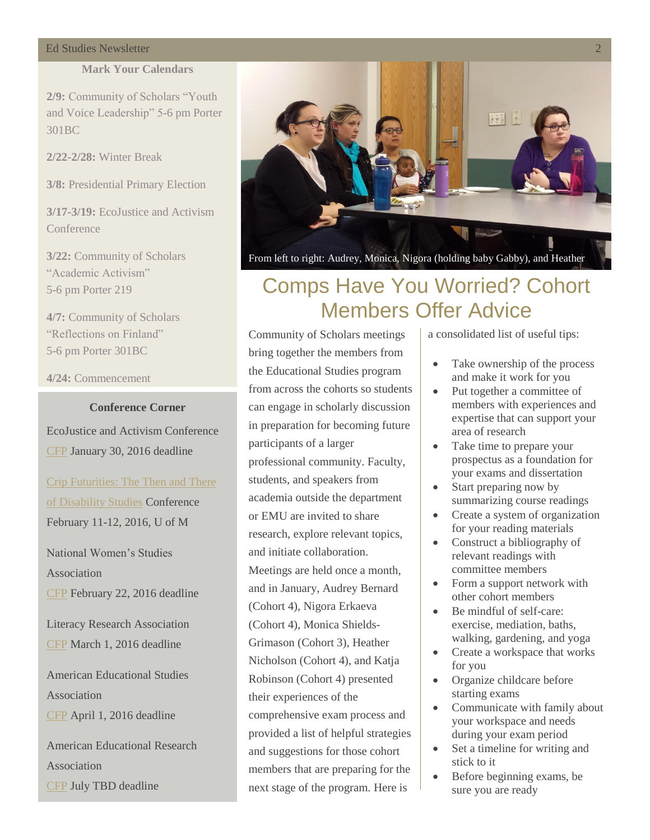#### **Ed Studies Newsletter**

#### **Mark Your Calendars**

**2/9:** Community of Scholars "Youth and Voice Leadership" 5-6 pm Porter 301BC

**2/22-2/28:** Winter Break

**3/8:** Presidential Primary Election

**3/17-3/19:** EcoJustice and Activism **Conference** 

**3/22:** Community of Scholars "Academic Activism" 5-6 pm Porter 219

**4/7:** Community of Scholars "Reflections on Finland" 5-6 pm Porter 301BC

**4/24:** Commencement

#### **Conference Corner**

EcoJustice and Activism Conference [CFP](http://ecojusticeconference.weebly.com/call-for-proposals.html) January 30, 2016 deadline

### [Crip Futurities: The Then and There](https://networks.h-net.org/node/GROUP_NID/discussions/83982/cfp-crip-futurities)  [of Disability Studies](https://networks.h-net.org/node/GROUP_NID/discussions/83982/cfp-crip-futurities) Conference

February 11-12, 2016, U of M

National Women's Studies Association

[CFP](http://www.nwsa.org/Files/2016/2016.NWSA.CFP.pdf) February 22, 2016 deadline

Literacy Research Association [CFP](http://www.literacyresearchassociation.org/pdf/2016CallFinal.pdf) March 1, 2016 deadline

American Educational Studies Association [CFP](http://www.educationalstudies.org/conference.html) April 1, 2016 deadline

American Educational Research Association [CFP](http://www.aera.net/EventsMeetings/AnnualMeeting/2016AnnualMeetingCallforPaperandSessionSubmissions/tabid/15964/Default.aspx) July TBD deadline



From left to right: Audrey, Monica, Nigora (holding baby Gabby), and Heather

### Comps Have You Worried? Cohort Members Offer Advice

Community of Scholars meetings bring together the members from the Educational Studies program from across the cohorts so students can engage in scholarly discussion in preparation for becoming future participants of a larger professional community. Faculty, students, and speakers from academia outside the department or EMU are invited to share research, explore relevant topics, and initiate collaboration. Meetings are held once a month, and in January, Audrey Bernard (Cohort 4), Nigora Erkaeva (Cohort 4), Monica Shields-Grimason (Cohort 3), Heather Nicholson (Cohort 4), and Katja Robinson (Cohort 4) presented their experiences of the comprehensive exam process and provided a list of helpful strategies and suggestions for those cohort members that are preparing for the next stage of the program. Here is

a consolidated list of useful tips:

- Take ownership of the process and make it work for you
- Put together a committee of members with experiences and expertise that can support your area of research
- Take time to prepare your prospectus as a foundation for your exams and dissertation
- Start preparing now by summarizing course readings
- Create a system of organization for your reading materials
- Construct a bibliography of relevant readings with committee members
- Form a support network with other cohort members
- Be mindful of self-care: exercise, mediation, baths, walking, gardening, and yoga
- Create a workspace that works for you
- Organize childcare before starting exams
- Communicate with family about your workspace and needs during your exam period
- Set a timeline for writing and stick to it
- Before beginning exams, be sure you are ready